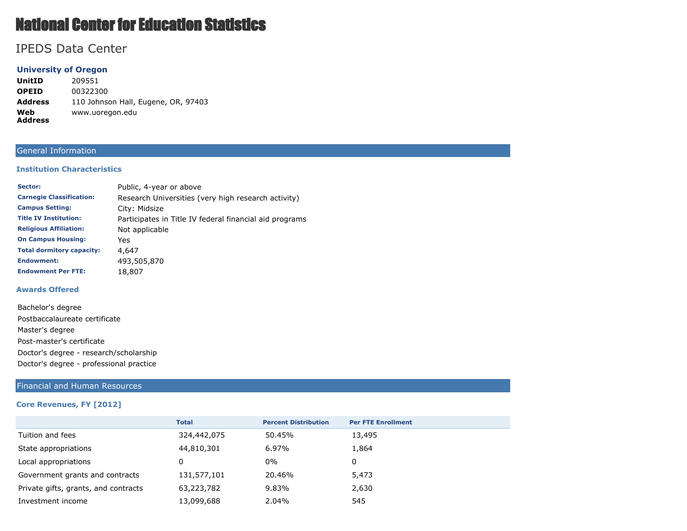# National Center for Education Statistics

## IPEDS Data Center

### **University of Oregon**

**UnitID** 209551 **OPEID** 00322300 **Address** 110 Johnson Hall, Eugene, OR, 97403 **Web Address** www.uoregon.edu

#### General Information

#### **Institution Characteristics**

| Sector:                          | Public, 4-year or above                                 |
|----------------------------------|---------------------------------------------------------|
| <b>Carnegie Classification:</b>  | Research Universities (very high research activity)     |
| <b>Campus Setting:</b>           | City: Midsize                                           |
| <b>Title IV Institution:</b>     | Participates in Title IV federal financial aid programs |
| <b>Religious Affiliation:</b>    | Not applicable                                          |
| <b>On Campus Housing:</b>        | Yes                                                     |
| <b>Total dormitory capacity:</b> | 4,647                                                   |
| <b>Endowment:</b>                | 493,505,870                                             |
| <b>Endowment Per FTE:</b>        | 18,807                                                  |

#### **Awards Offered**

#### Financial and Human Resources

#### **Core Revenues, FY [2012]**

|                                      | <b>Total</b> | <b>Percent Distribution</b> | <b>Per FTE Enrollment</b> |
|--------------------------------------|--------------|-----------------------------|---------------------------|
| Tuition and fees                     | 324,442,075  | 50.45%                      | 13,495                    |
| State appropriations                 | 44,810,301   | 6.97%                       | 1,864                     |
| Local appropriations                 | 0            | 0%                          | 0                         |
| Government grants and contracts      | 131,577,101  | 20.46%                      | 5,473                     |
| Private gifts, grants, and contracts | 63,223,782   | 9.83%                       | 2,630                     |
| Investment income                    | 13,099,688   | 2.04%                       | 545                       |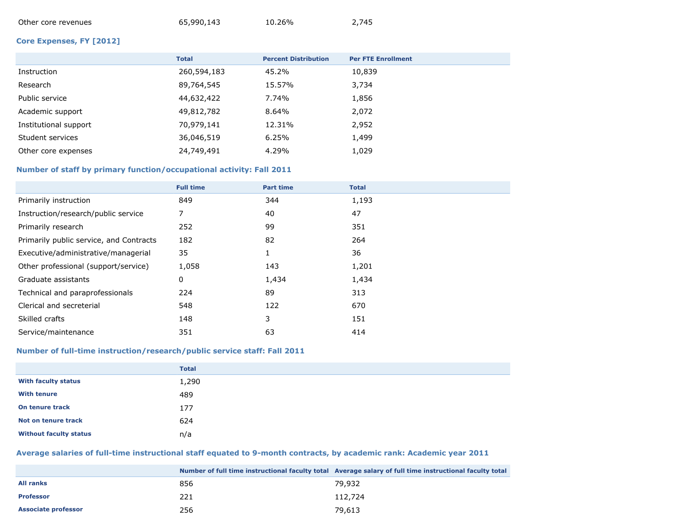| Other core revenues | 65,990,143 | 10.26% | 2,745 |
|---------------------|------------|--------|-------|
|                     |            |        |       |

#### **Core Expenses, FY [2012]**

|                       | <b>Total</b> | <b>Percent Distribution</b> | <b>Per FTE Enrollment</b> |
|-----------------------|--------------|-----------------------------|---------------------------|
| Instruction           | 260,594,183  | 45.2%                       | 10,839                    |
| Research              | 89,764,545   | 15.57%                      | 3,734                     |
| Public service        | 44,632,422   | 7.74%                       | 1,856                     |
| Academic support      | 49,812,782   | 8.64%                       | 2,072                     |
| Institutional support | 70,979,141   | 12.31%                      | 2,952                     |
| Student services      | 36,046,519   | 6.25%                       | 1,499                     |
| Other core expenses   | 24,749,491   | 4.29%                       | 1,029                     |

#### **Number of staff by primary function/occupational activity: Fall 2011**

|                                         | <b>Full time</b> | <b>Part time</b> | <b>Total</b> |
|-----------------------------------------|------------------|------------------|--------------|
| Primarily instruction                   | 849              | 344              | 1,193        |
| Instruction/research/public service     | 7                | 40               | 47           |
| Primarily research                      | 252              | 99               | 351          |
| Primarily public service, and Contracts | 182              | 82               | 264          |
| Executive/administrative/managerial     | 35               |                  | 36           |
| Other professional (support/service)    | 1,058            | 143              | 1,201        |
| Graduate assistants                     | 0                | 1,434            | 1,434        |
| Technical and paraprofessionals         | 224              | 89               | 313          |
| Clerical and secreterial                | 548              | 122              | 670          |
| Skilled crafts                          | 148              | 3                | 151          |
| Service/maintenance                     | 351              | 63               | 414          |

#### **Number of full-time instruction/research/public service staff: Fall 2011**

|                               | <b>Total</b> |
|-------------------------------|--------------|
| <b>With faculty status</b>    | 1,290        |
| <b>With tenure</b>            | 489          |
| On tenure track               | 177          |
| Not on tenure track           | 624          |
| <b>Without faculty status</b> | n/a          |

## **Average salaries of full-time instructional staff equated to 9-month contracts, by academic rank: Academic year 2011**

|                            |     | Number of full time instructional faculty total Average salary of full time instructional faculty total |
|----------------------------|-----|---------------------------------------------------------------------------------------------------------|
| <b>All ranks</b>           | 856 | 79,932                                                                                                  |
| <b>Professor</b>           | 221 | 112,724                                                                                                 |
| <b>Associate professor</b> | 256 | 79.613                                                                                                  |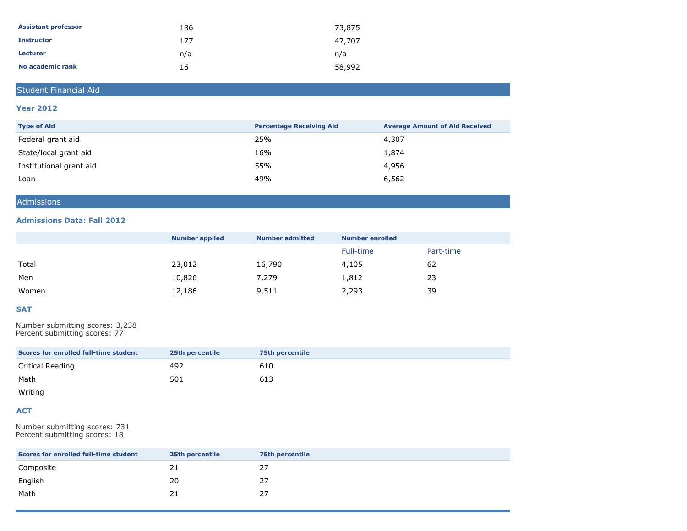| <b>Assistant professor</b> | 186 | 73,875 |
|----------------------------|-----|--------|
| <b>Instructor</b>          | 177 | 47.707 |
| <b>Lecturer</b>            | n/a | n/a    |
| No academic rank           | 16  | 58,992 |

## Student Financial Aid

#### **Year 2012**

| <b>Type of Aid</b>      | <b>Percentage Receiving Aid</b> | <b>Average Amount of Aid Received</b> |
|-------------------------|---------------------------------|---------------------------------------|
| Federal grant aid       | 25%                             | 4,307                                 |
| State/local grant aid   | 16%                             | 1,874                                 |
| Institutional grant aid | 55%                             | 4,956                                 |
| Loan                    | 49%                             | 6,562                                 |

## Admissions

#### **Admissions Data: Fall 2012**

|       | <b>Number applied</b> | <b>Number admitted</b> | <b>Number enrolled</b> |           |
|-------|-----------------------|------------------------|------------------------|-----------|
|       |                       |                        | Full-time              | Part-time |
| Total | 23,012                | 16,790                 | 4,105                  | 62        |
| Men   | 10,826                | 7,279                  | 1,812                  | 23        |
| Women | 12,186                | 9,511                  | 2,293                  | 39        |

#### **SAT**

Number submitting scores: 3,238 Percent submitting scores: 77

| Scores for enrolled full-time student | 25th percentile | <b>75th percentile</b> |
|---------------------------------------|-----------------|------------------------|
| Critical Reading                      | 492             | 610                    |
| Math                                  | 501             | 613                    |

Writing

#### **ACT**

Number submitting scores: 731 Percent submitting scores: 18

| Scores for enrolled full-time student | 25th percentile | <b>75th percentile</b> |
|---------------------------------------|-----------------|------------------------|
| Composite                             | 21              | 27                     |
| English                               | 20              | 27                     |
| Math                                  | 21              | 27                     |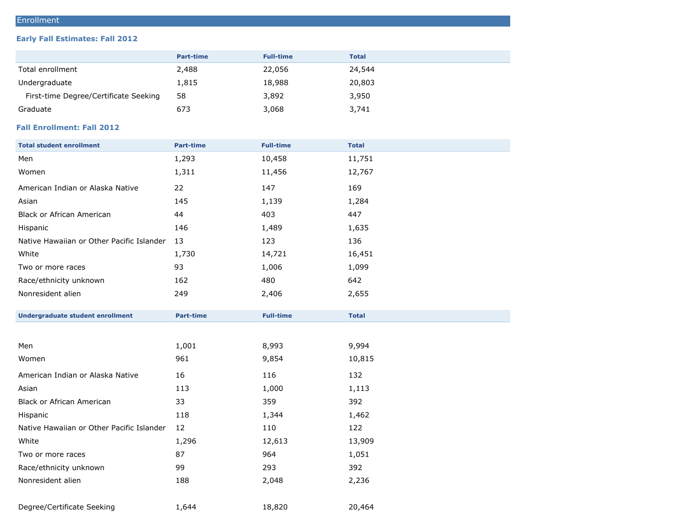## Enrollment

#### **Early Fall Estimates: Fall 2012**

| <b>Part-time</b> | <b>Full-time</b> | <b>Total</b> |
|------------------|------------------|--------------|
| 2,488            | 22,056           | 24,544       |
| 1,815            | 18,988           | 20,803       |
| 58               | 3,892            | 3,950        |
| 673              | 3,068            | 3,741        |
|                  |                  |              |

## **Fall Enrollment: Fall 2012**

| <b>Total student enrollment</b>           | <b>Part-time</b> | <b>Full-time</b> | <b>Total</b> |
|-------------------------------------------|------------------|------------------|--------------|
| Men                                       | 1,293            | 10,458           | 11,751       |
| Women                                     | 1,311            | 11,456           | 12,767       |
| American Indian or Alaska Native          | 22               | 147              | 169          |
| Asian                                     | 145              | 1,139            | 1,284        |
| <b>Black or African American</b>          | 44               | 403              | 447          |
| Hispanic                                  | 146              | 1,489            | 1,635        |
| Native Hawaiian or Other Pacific Islander | 13               | 123              | 136          |
| White                                     | 1,730            | 14,721           | 16,451       |
| Two or more races                         | 93               | 1,006            | 1,099        |
| Race/ethnicity unknown                    | 162              | 480              | 642          |
| Nonresident alien                         | 249              | 2,406            | 2,655        |
|                                           |                  |                  |              |
| <b>Undergraduate student enrollment</b>   | <b>Part-time</b> | <b>Full-time</b> | <b>Total</b> |
|                                           |                  |                  |              |
| Men                                       | 1,001            | 8,993            | 9,994        |
| Women                                     | 961              | 9,854            | 10,815       |
| American Indian or Alaska Native          | 16               | 116              | 132          |
| Asian                                     | 113              | 1,000            | 1,113        |
| <b>Black or African American</b>          | 33               | 359              | 392          |
| Hispanic                                  | 118              | 1,344            | 1,462        |
| Native Hawaiian or Other Pacific Islander | 12               | 110              | 122          |
| White                                     | 1,296            | 12,613           | 13,909       |
| Two or more races                         | 87               | 964              | 1,051        |
| Race/ethnicity unknown                    | 99               | 293              | 392          |
| Nonresident alien                         | 188              | 2,048            | 2,236        |
| Degree/Certificate Seeking                | 1,644            | 18,820           | 20,464       |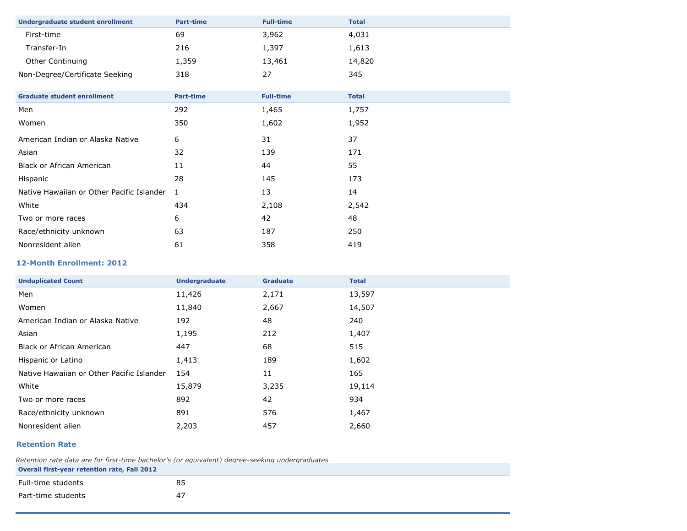| <b>Undergraduate student enrollment</b>   | <b>Part-time</b> | <b>Full-time</b> | <b>Total</b> |
|-------------------------------------------|------------------|------------------|--------------|
| First-time                                | 69               | 3,962            | 4,031        |
| Transfer-In                               | 216              | 1,397            | 1,613        |
| Other Continuing                          | 1,359            | 13,461           | 14,820       |
| Non-Degree/Certificate Seeking            | 318              | 27               | 345          |
|                                           |                  |                  |              |
| <b>Graduate student enrollment</b>        | <b>Part-time</b> | <b>Full-time</b> | <b>Total</b> |
| Men                                       | 292              | 1,465            | 1,757        |
| Women                                     | 350              | 1,602            | 1,952        |
| American Indian or Alaska Native          | 6                | 31               | 37           |
| Asian                                     | 32               | 139              | 171          |
| <b>Black or African American</b>          | 11               | 44               | 55           |
| Hispanic                                  | 28               | 145              | 173          |
| Native Hawaiian or Other Pacific Islander | 1                | 13               | 14           |
| White                                     | 434              | 2,108            | 2,542        |
| Two or more races                         | 6                | 42               | 48           |
| Race/ethnicity unknown                    | 63               | 187              | 250          |
| Nonresident alien                         | 61               | 358              | 419          |

#### **12-Month Enrollment: 2012**

| <b>Unduplicated Count</b>                 | <b>Undergraduate</b> | <b>Graduate</b> | <b>Total</b> |
|-------------------------------------------|----------------------|-----------------|--------------|
| Men                                       | 11,426               | 2,171           | 13,597       |
| Women                                     | 11,840               | 2,667           | 14,507       |
| American Indian or Alaska Native          | 192                  | 48              | 240          |
| Asian                                     | 1,195                | 212             | 1,407        |
| Black or African American                 | 447                  | 68              | 515          |
| Hispanic or Latino                        | 1,413                | 189             | 1,602        |
| Native Hawaiian or Other Pacific Islander | 154                  | 11              | 165          |
| White                                     | 15,879               | 3,235           | 19,114       |
| Two or more races                         | 892                  | 42              | 934          |
| Race/ethnicity unknown                    | 891                  | 576             | 1,467        |
| Nonresident alien                         | 2,203                | 457             | 2,660        |

#### **Retention Rate**

*Retention rate data are for first-time bachelor's (or equivalent) degree-seeking undergraduates*

| Overall first-year retention rate, Fall 2012 |    |
|----------------------------------------------|----|
| Full-time students                           | 85 |
| Part-time students                           | 47 |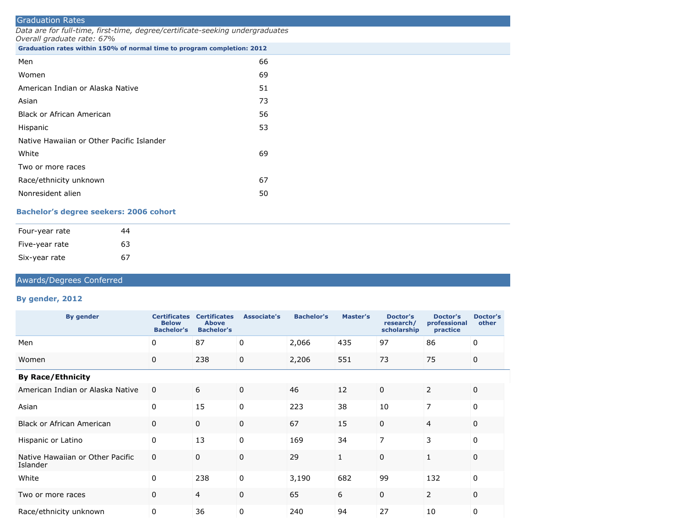| <b>Graduation Rates</b>                                                                                     |    |  |  |  |  |  |
|-------------------------------------------------------------------------------------------------------------|----|--|--|--|--|--|
| Data are for full-time, first-time, degree/certificate-seeking undergraduates<br>Overall graduate rate: 67% |    |  |  |  |  |  |
| Graduation rates within 150% of normal time to program completion: 2012                                     |    |  |  |  |  |  |
| Men                                                                                                         | 66 |  |  |  |  |  |
| Women                                                                                                       | 69 |  |  |  |  |  |
| American Indian or Alaska Native                                                                            | 51 |  |  |  |  |  |
| Asian                                                                                                       | 73 |  |  |  |  |  |
| Black or African American                                                                                   | 56 |  |  |  |  |  |
| Hispanic                                                                                                    | 53 |  |  |  |  |  |
| Native Hawaiian or Other Pacific Islander                                                                   |    |  |  |  |  |  |
| White                                                                                                       | 69 |  |  |  |  |  |
| Two or more races                                                                                           |    |  |  |  |  |  |
| Race/ethnicity unknown                                                                                      | 67 |  |  |  |  |  |
| Nonresident alien                                                                                           | 50 |  |  |  |  |  |

## **Bachelor's degree seekers: 2006 cohort**

| Four-year rate<br>44 |  |
|----------------------|--|
| 63<br>Five-year rate |  |
| 67<br>Six-year rate  |  |

## Awards/Degrees Conferred

#### **By gender, 2012**

| <b>By gender</b>                             | <b>Certificates</b><br><b>Below</b><br><b>Bachelor's</b> | <b>Certificates</b><br><b>Above</b><br><b>Bachelor's</b> | Associate's | <b>Bachelor's</b> | Master's     | <b>Doctor's</b><br>research/<br>scholarship | <b>Doctor's</b><br>professional<br>practice | Doctor's<br>other |
|----------------------------------------------|----------------------------------------------------------|----------------------------------------------------------|-------------|-------------------|--------------|---------------------------------------------|---------------------------------------------|-------------------|
| Men                                          | 0                                                        | 87                                                       | 0           | 2,066             | 435          | 97                                          | 86                                          | 0                 |
| Women                                        | $\mathbf 0$                                              | 238                                                      | 0           | 2,206             | 551          | 73                                          | 75                                          | 0                 |
| <b>By Race/Ethnicity</b>                     |                                                          |                                                          |             |                   |              |                                             |                                             |                   |
| American Indian or Alaska Native             | $\mathbf 0$                                              | 6                                                        | $\Omega$    | 46                | 12           | $\Omega$                                    | $\overline{2}$                              | $\Omega$          |
| Asian                                        | $\Omega$                                                 | 15                                                       | 0           | 223               | 38           | 10                                          | 7                                           | $\Omega$          |
| <b>Black or African American</b>             | $\mathbf 0$                                              | $\mathbf 0$                                              | $\Omega$    | 67                | 15           | $\mathbf 0$                                 | 4                                           | 0                 |
| Hispanic or Latino                           | 0                                                        | 13                                                       | 0           | 169               | 34           | 7                                           | 3                                           | $\Omega$          |
| Native Hawaiian or Other Pacific<br>Islander | $\mathbf 0$                                              | $\mathbf 0$                                              | $\mathbf 0$ | 29                | $\mathbf{1}$ | 0                                           | 1                                           | 0                 |
| White                                        | $\Omega$                                                 | 238                                                      | $\Omega$    | 3,190             | 682          | 99                                          | 132                                         | $\Omega$          |
| Two or more races                            | $\mathbf 0$                                              | 4                                                        | $\Omega$    | 65                | 6            | $\mathbf 0$                                 | $\overline{2}$                              | 0                 |
| Race/ethnicity unknown                       | 0                                                        | 36                                                       | 0           | 240               | 94           | 27                                          | 10                                          | 0                 |